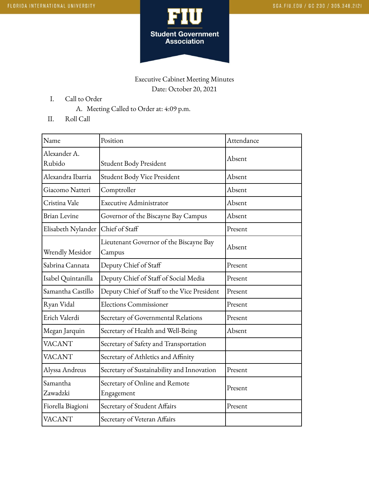

## Executive Cabinet Meeting Minutes Date: October 20, 2021

- I. Call to Order
	- A. Meeting Called to Order at: 4:09 p.m.
- II. Roll Call

| Name                   | Position                                          | Attendance |
|------------------------|---------------------------------------------------|------------|
| Alexander A.<br>Rubido | Student Body President                            | Absent     |
| Alexandra Ibarria      | Student Body Vice President                       | Absent     |
| Giacomo Natteri        | Comptroller                                       | Absent     |
| Cristina Vale          | <b>Executive Administrator</b>                    | Absent     |
| <b>Brian Levine</b>    | Governor of the Biscayne Bay Campus               | Absent     |
| Elisabeth Nylander     | Chief of Staff                                    | Present    |
| <b>Wrendly Mesidor</b> | Lieutenant Governor of the Biscayne Bay<br>Campus | Absent     |
| Sabrina Cannata        | Deputy Chief of Staff                             | Present    |
| Isabel Quintanilla     | Deputy Chief of Staff of Social Media             | Present    |
| Samantha Castillo      | Deputy Chief of Staff to the Vice President       | Present    |
| Ryan Vidal             | <b>Elections Commissioner</b>                     | Present    |
| Erich Valerdi          | Secretary of Governmental Relations               | Present    |
| Megan Jarquin          | Secretary of Health and Well-Being                | Absent     |
| <b>VACANT</b>          | Secretary of Safety and Transportation            |            |
| <b>VACANT</b>          | Secretary of Athletics and Affinity               |            |
| Alyssa Andreus         | Secretary of Sustainability and Innovation        | Present    |
| Samantha<br>Zawadzki   | Secretary of Online and Remote<br>Engagement      | Present    |
| Fiorella Biagioni      | Secretary of Student Affairs                      | Present    |
| <b>VACANT</b>          | Secretary of Veteran Affairs                      |            |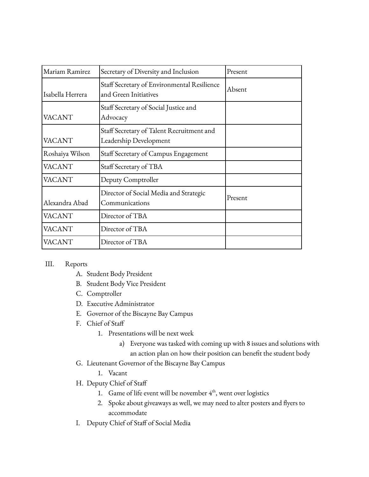| Mariam Ramirez   | Secretary of Diversity and Inclusion                                 | Present |
|------------------|----------------------------------------------------------------------|---------|
| Isabella Herrera | Staff Secretary of Environmental Resilience<br>and Green Initiatives | Absent  |
| <b>VACANT</b>    | Staff Secretary of Social Justice and<br>Advocacy                    |         |
| <b>VACANT</b>    | Staff Secretary of Talent Recruitment and<br>Leadership Development  |         |
| Roshaiya Wilson  | Staff Secretary of Campus Engagement                                 |         |
| <b>VACANT</b>    | Staff Secretary of TBA                                               |         |
| <b>VACANT</b>    | Deputy Comptroller                                                   |         |
| Alexandra Abad   | Director of Social Media and Strategic<br>Communications             | Present |
| <b>VACANT</b>    | Director of TBA                                                      |         |
| <b>VACANT</b>    | Director of TBA                                                      |         |
| <b>VACANT</b>    | Director of TBA                                                      |         |

## III. Reports

- A. Student Body President
- B. Student Body Vice President
- C. Comptroller
- D. Executive Administrator
- E. Governor of the Biscayne Bay Campus
- F. Chief of Staff
	- 1. Presentations will be next week
		- a) Everyone was tasked with coming up with 8 issues and solutions with an action plan on how their position can benefit the student body
- G. Lieutenant Governor of the Biscayne Bay Campus
	- 1. Vacant
- H. Deputy Chief of Staff
	- 1. Game of life event will be november  $4<sup>th</sup>$ , went over logistics
	- 2. Spoke about giveaways as well, we may need to alter posters and flyers to accommodate
- I. Deputy Chief of Staff of Social Media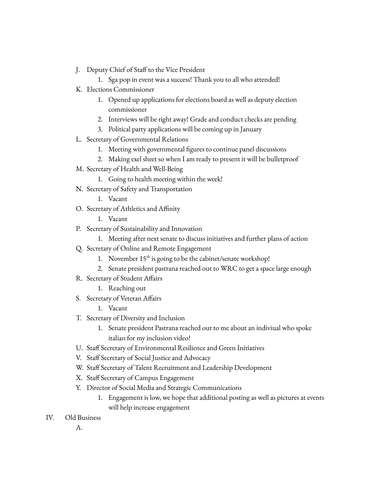- J. Deputy Chief of Staff to the Vice President
	- 1. Sga pop in event was a success! Thank you to all who attended!
- K. Elections Commissioner
	- 1. Opened up applications for elections board as well as deputy election commissioner
	- 2. Interviews will be right away! Grade and conduct checks are pending
	- 3. Political party applications will be coming up in January
- L. Secretary of Governmental Relations
	- 1. Meeting with governmental figures to continue panel discussions
	- 2. Making exel sheet so when I am ready to present it will be bulletproof
- M. Secretary of Health and Well-Being
	- 1. Going to health meeting within the week!
- N. Secretary of Safety and Transportation
	- 1. Vacant
- O. Secretary of Athletics and Affinity
	- 1. Vacant
- P. Secretary of Sustainability and Innovation
	- 1. Meeting after next senate to discuss initiatives and further plans of action
- Q. Secretary of Online and Remote Engagement
	- 1. November 15<sup>th</sup> is going to be the cabinet/senate workshop!
	- 2. Senate president pastrana reached out to WRC to get a space large enough
- R. Secretary of Student Affairs
	- 1. Reaching out
- S. Secretary of Veteran Affairs
	- 1. Vacant
- T. Secretary of Diversity and Inclusion
	- 1. Senate president Pastrana reached out to me about an indiviual who spoke italian for my inclusion video!
- U. Staff Secretary of Environmental Resilience and Green Initiatives
- V. Staff Secretary of Social Justice and Advocacy
- W. Staff Secretary of Talent Recruitment and Leadership Development
- X. Staff Secretary of Campus Engagement
- Y. Director of Social Media and Strategic Communications
	- 1. Engagement is low, we hope that additional posting as well as pictures at events will help increase engagement
- IV. Old Business
	- A.